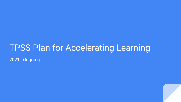# TPSS Plan for Accelerating Learning 2021 - Ongoing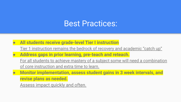### Best Practices:

- **All students receive grade-level Tier I instruction**
	- Tier 1 instruction remains the bedrock of recovery and academic "catch up"
- **Address gaps in prior learning, pre-teach and reteach.** For all students to achieve mastery of a subject some will need a combination of core instruction and extra time to learn.
- **Monitor implementation, assess student gains in 3 week intervals, and revise plans as needed.**

Assess impact quickly and often.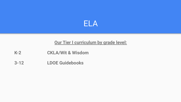

#### **Our Tier I curriculum by grade level:**

- **K-2 CKLA/Wit & Wisdom**
- **3-12 LDOE Guidebooks**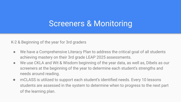### Screeners & Monitoring

K-2 & Beginning of the year for 3rd graders

- We have a Comprehensive Literacy Plan to address the critical goal of all students achieving mastery on their 3rd grade LEAP 2025 assessments.
- We use CKLA and Wit & Wisdom beginning of the year data, as well as, Dibels as our screeners at the beginning of the year to determine each student's strengths and needs around reading.
- mCLASS is utilized to support each student's identified needs. Every 10 lessons students are assessed in the system to determine when to progress to the next part of the learning plan.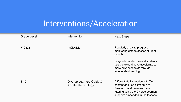# Interventions/Acceleration

| <b>Grade Level</b> | Intervention                                           | <b>Next Steps</b>                                                                                                                                                                  |
|--------------------|--------------------------------------------------------|------------------------------------------------------------------------------------------------------------------------------------------------------------------------------------|
| $K-2(3)$           | mCLASS                                                 | Regularly analyze progress<br>monitoring data to access student<br>growth                                                                                                          |
|                    |                                                        | On-grade level or beyond students<br>use the extra time to accelerate to<br>more advanced texts through<br>independent reading.                                                    |
| $3 - 12$           | Diverse Learners Guide &<br><b>Accelerate Strategy</b> | Differentiate instruction with Tier I<br>content and use extra time to<br>Pre-teach and have real time<br>tutoring using the Diverse Learners<br>supports embedded in the lessons. |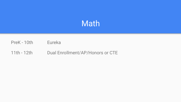### Math

#### PreK - 10th Eureka

#### 11th - 12th Dual Enrollment/AP/Honors or CTE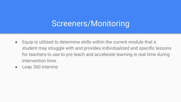### Screeners/Monitoring

- Equip is utilized to determine skills within the current module that a student may struggle with and provides individualized and specific lessons for teachers to use to pre teach and accelerate learning in real time during intervention time.
- Leap 360 interims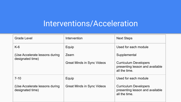# Interventions/Acceleration

| <b>Grade Level</b>                                  | Intervention                      | <b>Next Steps</b>                                                                |
|-----------------------------------------------------|-----------------------------------|----------------------------------------------------------------------------------|
| $K-6$                                               | Equip                             | Used for each module                                                             |
| (Use Accelerate lessons during)<br>designated time) | Zearn                             | Supplemental                                                                     |
|                                                     | <b>Great Minds in Sync Videos</b> | <b>Curriculum Developers</b><br>presenting lesson and available<br>all the time. |
| $7 - 10$                                            | Equip                             | Used for each module                                                             |
| (Use Accelerate lessons during)<br>designated time) | <b>Great Minds in Sync Videos</b> | <b>Curriculum Developers</b><br>presenting lesson and available<br>all the time. |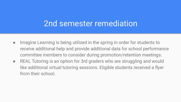### 2nd semester remediation

- Imagine Learning is being utilized in the spring in order for students to receive additional help and provide additional data for school performance committee members to consider during promotion/retention meetings.
- REAL Tutoring is an option for 3rd graders who are struggling and would like additional virtual tutoring sessions. Eligible students received a flyer from their school.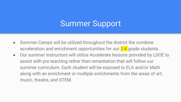## Summer Support

- Summer Camps will be utilized throughout the district the combine acceleration and enrichment opportunities for our 2-8 grade students.
- Our summer instructors will utilize Accelerate lessons provided by LDOE to assist with pre teaching rather than remediation that will follow our summer curriculum. Each student will be exposed to ELA and/or Math along with an enrichment or multiple enrichments from the areas of art, music, theatre, and STEM.